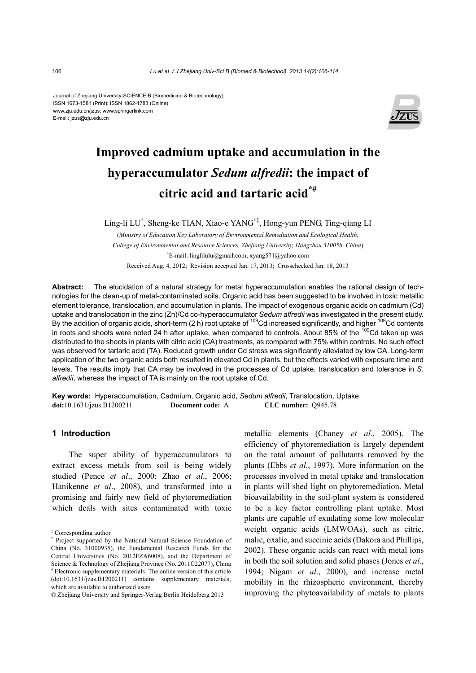Journal of Zhejiang University-SCIENCE B (Biomedicine & Biotechnology) ISSN 1673-1581 (Print); ISSN 1862-1783 (Online) www.zju.edu.cn/jzus; www.springerlink.com E-mail: jzus@zju.edu.cn



# **Improved cadmium uptake and accumulation in the hyperaccumulator** *Sedum alfredii***: the impact of citric acid and tartaric acid\*#**

Ling-li LU† , Sheng-ke TIAN, Xiao-e YANG†‡, Hong-yun PENG, Ting-qiang LI

(*Ministry of Education Key Laboratory of Environmental Remediation and Ecological Health, College of Environmental and Resource Sciences, Zhejiang University, Hangzhou 310058, China*) † E-mail: linglilulu@gmail.com; xyang571@yahoo.com Received Aug. 4, 2012; Revision accepted Jan. 17, 2013; Crosschecked Jan. 18, 2013

**Abstract:** The elucidation of a natural strategy for metal hyperaccumulation enables the rational design of technologies for the clean-up of metal-contaminated soils. Organic acid has been suggested to be involved in toxic metallic element tolerance, translocation, and accumulation in plants. The impact of exogenous organic acids on cadmium (Cd) uptake and translocation in the zinc (Zn)/Cd co-hyperaccumulator *Sedum alfredii* was investigated in the present study. By the addition of organic acids, short-term (2 h) root uptake of <sup>109</sup>Cd increased significantly, and higher <sup>109</sup>Cd contents in roots and shoots were noted 24 h after uptake, when compared to controls. About 85% of the 109Cd taken up was distributed to the shoots in plants with citric acid (CA) treatments, as compared with 75% within controls. No such effect was observed for tartaric acid (TA). Reduced growth under Cd stress was significantly alleviated by low CA. Long-term application of the two organic acids both resulted in elevated Cd in plants, but the effects varied with exposure time and levels. The results imply that CA may be involved in the processes of Cd uptake, translocation and tolerance in *S*. *alfredii*, whereas the impact of TA is mainly on the root uptake of Cd.

**Key words:** Hyperaccumulation, Cadmium, Organic acid, *Sedum alfredii*, Translocation, Uptake **doi:**10.1631/jzus.B1200211 **Document code:** A **CLC number:** Q945.78

## **1 Introduction**

The super ability of hyperaccumulators to extract excess metals from soil is being widely studied (Pence *et al*., 2000; Zhao *et al*., 2006; Hanikenne *et al*., 2008), and transformed into a promising and fairly new field of phytoremediation which deals with sites contaminated with toxic metallic elements (Chaney *et al*., 2005). The efficiency of phytoremediation is largely dependent on the total amount of pollutants removed by the plants (Ebbs *et al*., 1997). More information on the processes involved in metal uptake and translocation in plants will shed light on phytoremediation. Metal bioavailability in the soil-plant system is considered to be a key factor controlling plant uptake. Most plants are capable of exudating some low molecular weight organic acids (LMWOAs), such as citric, malic, oxalic, and succinic acids (Dakora and Phillips, 2002). These organic acids can react with metal ions in both the soil solution and solid phases (Jones *et al*., 1994; Nigam *et al*., 2000), and increase metal mobility in the rhizospheric environment, thereby improving the phytoavailability of metals to plants

<sup>‡</sup> Corresponding author

<sup>\*</sup> Project supported by the National Natural Science Foundation of China (No. 31000935), the Fundamental Research Funds for the Central Universities (No. 2012FZA6008), and the Department of Science & Technology of Zhejiang Province (No. 2011C22077), China # Electronic supplementary materials: The online version of this article (doi:10.1631/jzus.B1200211) contains supplementary materials, which are available to authorized users

<sup>©</sup> Zhejiang University and Springer-Verlag Berlin Heidelberg 2013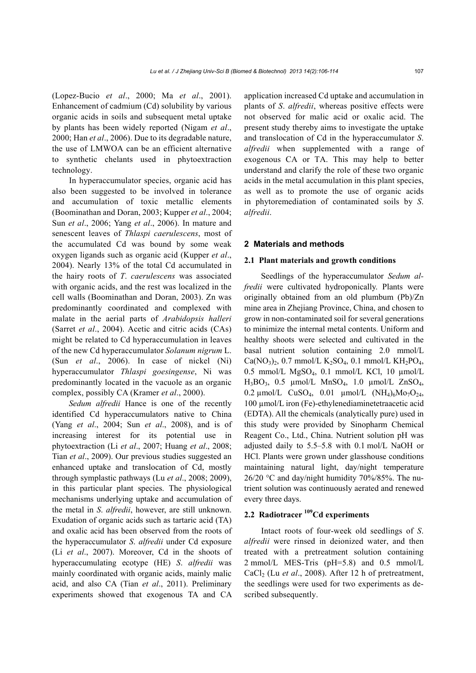(Lopez-Bucio *et al*., 2000; Ma *et al*., 2001). Enhancement of cadmium (Cd) solubility by various organic acids in soils and subsequent metal uptake by plants has been widely reported (Nigam *et al*., 2000; Han *et al*., 2006). Due to its degradable nature, the use of LMWOA can be an efficient alternative to synthetic chelants used in phytoextraction technology.

In hyperaccumulator species, organic acid has also been suggested to be involved in tolerance and accumulation of toxic metallic elements (Boominathan and Doran, 2003; Kupper *et al*., 2004; Sun *et al*., 2006; Yang *et al*., 2006). In mature and senescent leaves of *Thlaspi caerulescens*, most of the accumulated Cd was bound by some weak oxygen ligands such as organic acid (Kupper *et al*., 2004). Nearly 13% of the total Cd accumulated in the hairy roots of *T*. *caerulescens* was associated with organic acids, and the rest was localized in the cell walls (Boominathan and Doran, 2003). Zn was predominantly coordinated and complexed with malate in the aerial parts of *Arabidopsis halleri* (Sarret *et al*., 2004). Acetic and citric acids (CAs) might be related to Cd hyperaccumulation in leaves of the new Cd hyperaccumulator *Solanum nigrum* L. (Sun *et al*., 2006). In case of nickel (Ni) hyperaccumulator *Thlaspi goesingense*, Ni was predominantly located in the vacuole as an organic complex, possibly CA (Kramer *et al*., 2000).

*Sedum alfredii* Hance is one of the recently identified Cd hyperaccumulators native to China (Yang *et al*., 2004; Sun *et al*., 2008), and is of increasing interest for its potential use in phytoextraction (Li *et al*., 2007; Huang *et al*., 2008; Tian *et al*., 2009). Our previous studies suggested an enhanced uptake and translocation of Cd, mostly through symplastic pathways (Lu *et al*., 2008; 2009), in this particular plant species. The physiological mechanisms underlying uptake and accumulation of the metal in *S*. *alfredii*, however, are still unknown. Exudation of organic acids such as tartaric acid (TA) and oxalic acid has been observed from the roots of the hyperaccumulator *S*. *alfredii* under Cd exposure (Li *et al*., 2007). Moreover, Cd in the shoots of hyperaccumulating ecotype (HE) *S*. *alfredii* was mainly coordinated with organic acids, mainly malic acid, and also CA (Tian *et al*., 2011). Preliminary experiments showed that exogenous TA and CA application increased Cd uptake and accumulation in plants of *S*. *alfredii*, whereas positive effects were not observed for malic acid or oxalic acid. The present study thereby aims to investigate the uptake and translocation of Cd in the hyperaccumulator *S*. *alfredii* when supplemented with a range of exogenous CA or TA. This may help to better understand and clarify the role of these two organic acids in the metal accumulation in this plant species, as well as to promote the use of organic acids in phytoremediation of contaminated soils by *S*. *alfredii*.

#### **2 Materials and methods**

#### **2.1 Plant materials and growth conditions**

Seedlings of the hyperaccumulator *Sedum alfredii* were cultivated hydroponically. Plants were originally obtained from an old plumbum (Pb)/Zn mine area in Zhejiang Province, China, and chosen to grow in non-contaminated soil for several generations to minimize the internal metal contents. Uniform and healthy shoots were selected and cultivated in the basal nutrient solution containing 2.0 mmol/L  $Ca(NO<sub>3</sub>)<sub>2</sub>$ , 0.7 mmol/L K<sub>2</sub>SO<sub>4</sub>, 0.1 mmol/L KH<sub>2</sub>PO<sub>4</sub>,  $0.5$  mmol/L MgSO<sub>4</sub>,  $0.1$  mmol/L KCl,  $10 \mu$ mol/L H<sub>3</sub>BO<sub>3</sub>, 0.5  $\mu$ mol/L MnSO<sub>4</sub>, 1.0  $\mu$ mol/L ZnSO<sub>4</sub>, 0.2  $\mu$ mol/L CuSO<sub>4</sub>, 0.01  $\mu$ mol/L (NH<sub>4</sub>)<sub>6</sub>Mo<sub>7</sub>O<sub>24</sub>, 100 µmol/L iron (Fe)-ethylenediaminetetraacetic acid (EDTA). All the chemicals (analytically pure) used in this study were provided by Sinopharm Chemical Reagent Co., Ltd., China. Nutrient solution pH was adjusted daily to 5.5–5.8 with 0.1 mol/L NaOH or HCl. Plants were grown under glasshouse conditions maintaining natural light, day/night temperature  $26/20$  °C and day/night humidity 70%/85%. The nutrient solution was continuously aerated and renewed every three days.

# **2.2 Radiotracer 109Cd experiments**

Intact roots of four-week old seedlings of *S*. *alfredii* were rinsed in deionized water, and then treated with a pretreatment solution containing 2 mmol/L MES-Tris (pH=5.8) and 0.5 mmol/L CaCl<sub>2</sub> (Lu *et al.*, 2008). After 12 h of pretreatment, the seedlings were used for two experiments as described subsequently.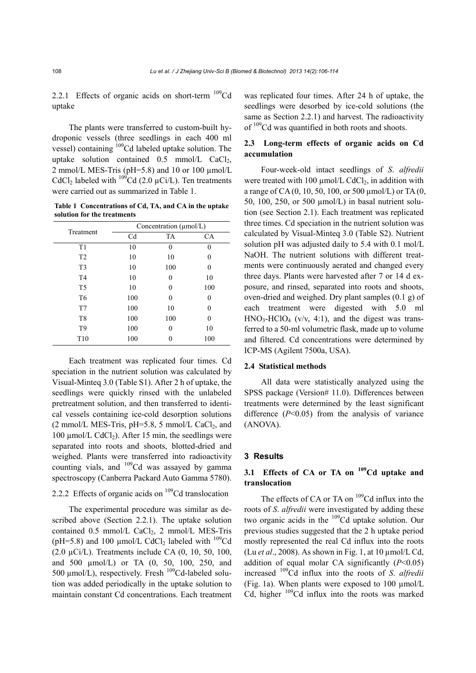2.2.1 Effects of organic acids on short-term  $^{109}$ Cd uptake

The plants were transferred to custom-built hydroponic vessels (three seedlings in each 400 ml vessel) containing  $109$ Cd labeled uptake solution. The uptake solution contained  $0.5 \text{ mmol/L } \text{CaCl}_2$ , 2 mmol/L MES-Tris (pH=5.8) and 10 or 100  $\mu$ mol/L CdCl<sub>2</sub> labeled with  $^{109}$ Cd (2.0 µCi/L). Ten treatments were carried out as summarized in Table 1.

**Table 1 Concentrations of Cd, TA, and CA in the uptake solution for the treatments** 

| Treatment       | Concentration $(\mu \text{mol/L})$ |           |     |  |  |
|-----------------|------------------------------------|-----------|-----|--|--|
|                 | Cd                                 | <b>TA</b> | CA  |  |  |
| T1              | 10                                 | 0         | 0   |  |  |
| T <sub>2</sub>  | 10                                 | 10        | 0   |  |  |
| T <sub>3</sub>  | 10                                 | 100       | 0   |  |  |
| T <sub>4</sub>  | 10                                 | 0         | 10  |  |  |
| T <sub>5</sub>  | 10                                 | 0         | 100 |  |  |
| T <sub>6</sub>  | 100                                | 0         | 0   |  |  |
| T7              | 100                                | 10        | 0   |  |  |
| T <sub>8</sub>  | 100                                | 100       | 0   |  |  |
| T <sub>9</sub>  | 100                                | 0         | 10  |  |  |
| T <sub>10</sub> | 100                                |           | 100 |  |  |

Each treatment was replicated four times. Cd speciation in the nutrient solution was calculated by Visual-Minteq 3.0 (Table S1). After 2 h of uptake, the seedlings were quickly rinsed with the unlabeled pretreatment solution, and then transferred to identical vessels containing ice-cold desorption solutions  $(2 \text{ mmol/L MES-Tris}, \text{pH=5.8}, 5 \text{ mmol/L CaCl}_2, \text{and}$ 100  $\mu$ mol/L CdCl<sub>2</sub>). After 15 min, the seedlings were separated into roots and shoots, blotted-dried and weighed. Plants were transferred into radioactivity counting vials, and  $109$ Cd was assayed by gamma spectroscopy (Canberra Packard Auto Gamma 5780).

# 2.2.2 Effects of organic acids on  $109$ Cd translocation

The experimental procedure was similar as described above (Section 2.2.1). The uptake solution contained  $0.5$  mmol/L CaCl<sub>2</sub>, 2 mmol/L MES-Tris (pH=5.8) and 100  $\mu$ mol/L CdCl<sub>2</sub> labeled with <sup>109</sup>Cd  $(2.0 \text{ }\mu\text{Ci/L})$ . Treatments include CA  $(0, 10, 50, 100, 100)$ and 500 µmol/L) or TA (0, 50, 100, 250, and 500  $\mu$ mol/L), respectively. Fresh  $^{109}$ Cd-labeled solution was added periodically in the uptake solution to maintain constant Cd concentrations. Each treatment was replicated four times. After 24 h of uptake, the seedlings were desorbed by ice-cold solutions (the same as Section 2.2.1) and harvest. The radioactivity of <sup>109</sup>Cd was quantified in both roots and shoots.

## **2.3 Long-term effects of organic acids on Cd accumulation**

Four-week-old intact seedlings of *S*. *alfredii* were treated with 100  $\mu$ mol/L CdCl<sub>2</sub>, in addition with a range of CA (0, 10, 50, 100, or 500 µmol/L) or TA (0, 50, 100, 250, or 500  $\mu$ mol/L) in basal nutrient solution (see Section 2.1). Each treatment was replicated three times. Cd speciation in the nutrient solution was calculated by Visual-Minteq 3.0 (Table S2). Nutrient solution pH was adjusted daily to 5.4 with 0.1 mol/L NaOH. The nutrient solutions with different treatments were continuously aerated and changed every three days. Plants were harvested after 7 or 14 d exposure, and rinsed, separated into roots and shoots, oven-dried and weighed. Dry plant samples (0.1 g) of each treatment were digested with 5.0 ml  $HNO<sub>3</sub>-HClO<sub>4</sub>$  (v/v, 4:1), and the digest was transferred to a 50-ml volumetric flask, made up to volume and filtered. Cd concentrations were determined by ICP-MS (Agilent 7500a, USA).

#### **2.4 Statistical methods**

All data were statistically analyzed using the SPSS package (Version# 11.0). Differences between treatments were determined by the least significant difference (*P*<0.05) from the analysis of variance (ANOVA).

### **3 Results**

# **3.1 Effects of CA or TA on 109Cd uptake and translocation**

The effects of CA or TA on <sup>109</sup>Cd influx into the roots of *S*. *alfredii* were investigated by adding these two organic acids in the <sup>109</sup>Cd uptake solution. Our previous studies suggested that the 2 h uptake period mostly represented the real Cd influx into the roots (Lu *et al*., 2008). As shown in Fig. 1, at 10 µmol/L Cd, addition of equal molar CA significantly  $(P<0.05)$ increased 109Cd influx into the roots of *S*. *alfredii* (Fig. 1a). When plants were exposed to 100 µmol/L Cd, higher  $109$ Cd influx into the roots was marked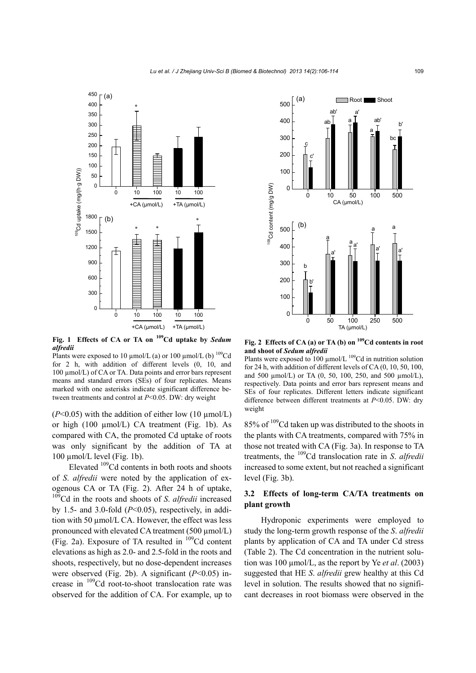

**Fig. 1 Effects of CA or TA on 109Cd uptake by** *Sedum alfredii*

Plants were exposed to 10  $\mu$ mol/L (a) or 100  $\mu$ mol/L (b) <sup>109</sup>Cd for 2 h, with addition of different levels (0, 10, and 100 µmol/L) of CA or TA. Data points and error bars represent means and standard errors (SEs) of four replicates. Means marked with one asterisks indicate significant difference be-

 $(P<0.05)$  with the addition of either low (10  $\mu$ mol/L) or high (100 µmol/L) CA treatment (Fig. 1b). As compared with CA, the promoted Cd uptake of roots was only significant by the addition of TA at 100 µmol/L level (Fig. 1b).

Elevated  $109$ Cd contents in both roots and shoots of *S*. *alfredii* were noted by the application of exogenous CA or TA (Fig. 2). After 24 h of uptake, 109Cd in the roots and shoots of *S*. *alfredii* increased by 1.5- and 3.0-fold (*P*<0.05), respectively, in addition with 50 µmol/L CA. However, the effect was less pronounced with elevated CA treatment (500 µmol/L) (Fig. 2a). Exposure of TA resulted in  $109$ Cd content elevations as high as 2.0- and 2.5-fold in the roots and shoots, respectively, but no dose-dependent increases were observed (Fig. 2b). A significant (*P*<0.05) increase in 109Cd root-to-shoot translocation rate was observed for the addition of CA. For example, up to



Fig. 2 Effects of CA (a) or TA (b) on <sup>109</sup>Cd contents in root **and shoot of** *Sedum alfredii*

Plants were exposed to 100  $\mu$ mol/L <sup>109</sup>Cd in nutrition solution for 24 h, with addition of different levels of CA (0, 10, 50, 100, and 500  $\mu$ mol/L) or TA (0, 50, 100, 250, and 500  $\mu$ mol/L), respectively. Data points and error bars represent means and SEs of four replicates. Different letters indicate significant difference between different treatments at *P*<0.05. DW: dry weight

85% of <sup>109</sup>Cd taken up was distributed to the shoots in the plants with CA treatments, compared with 75% in those not treated with CA (Fig. 3a). In response to TA treatments, the 109Cd translocation rate in *S*. *alfredii* increased to some extent, but not reached a significant level (Fig. 3b).

## **3.2 Effects of long-term CA/TA treatments on plant growth**

Hydroponic experiments were employed to study the long-term growth response of the *S*. *alfredii* plants by application of CA and TA under Cd stress (Table 2). The Cd concentration in the nutrient solution was 100 µmol/L, as the report by Ye *et al*. (2003) suggested that HE *S*. *alfredii* grew healthy at this Cd level in solution. The results showed that no significant decreases in root biomass were observed in the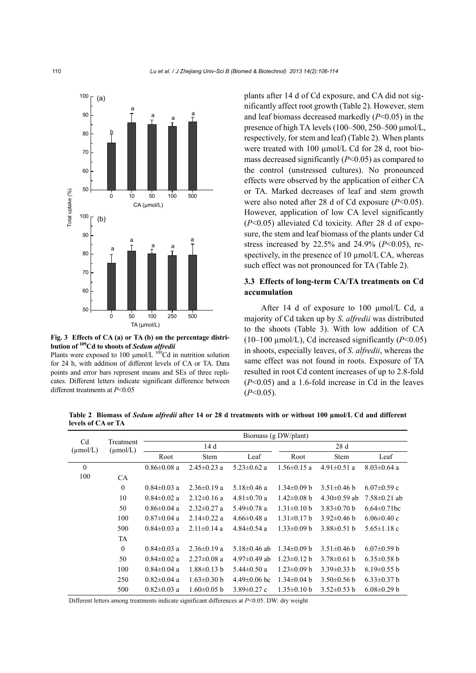

**Fig. 3 Effects of CA (a) or TA (b) on the percentage distribution of 109Cd to shoots of** *Sedum alfredii*

Plants were exposed to 100  $\mu$ mol/L <sup>109</sup>Cd in nutrition solution for 24 h, with addition of different levels of CA or TA. Data points and error bars represent means and SEs of three replicates. Different letters indicate significant difference between different treatments at *P*<0.05

plants after 14 d of Cd exposure, and CA did not significantly affect root growth (Table 2). However, stem and leaf biomass decreased markedly (*P*<0.05) in the presence of high TA levels  $(100-500, 250-500 \text{ µmol/L})$ . respectively, for stem and leaf) (Table 2). When plants were treated with 100 µmol/L Cd for 28 d, root biomass decreased significantly (*P*<0.05) as compared to the control (unstressed cultures). No pronounced effects were observed by the application of either CA or TA. Marked decreases of leaf and stem growth were also noted after 28 d of Cd exposure (*P*<0.05). However, application of low CA level significantly (*P*<0.05) alleviated Cd toxicity. After 28 d of exposure, the stem and leaf biomass of the plants under Cd stress increased by 22.5% and 24.9% (*P*<0.05), respectively, in the presence of  $10 \mu$ mol/L CA, whereas such effect was not pronounced for TA (Table 2).

## **3.3 Effects of long-term CA/TA treatments on Cd accumulation**

After 14 d of exposure to 100 µmol/L Cd, a majority of Cd taken up by *S*. *alfredii* was distributed to the shoots (Table 3). With low addition of CA (10–100  $\mu$ mol/L), Cd increased significantly ( $P<0.05$ ) in shoots, especially leaves, of *S*. *alfredii*, whereas the same effect was not found in roots. Exposure of TA resulted in root Cd content increases of up to 2.8-fold (*P*<0.05) and a 1.6-fold increase in Cd in the leaves (*P*<0.05).

**Table 2 Biomass of** *Sedum alfredii* **after 14 or 28 d treatments with or without 100 µmol/L Cd and different levels of CA or TA** 

|                                                                             |              | Biomass (g DW/plant) |                   |                    |                   |                   |                   |
|-----------------------------------------------------------------------------|--------------|----------------------|-------------------|--------------------|-------------------|-------------------|-------------------|
| C <sub>d</sub><br>Treatment<br>$(\mu \text{mol/L})$<br>$(\mu \text{mol/L})$ | 14 d         |                      | 28d               |                    |                   |                   |                   |
|                                                                             |              | Root                 | <b>Stem</b>       | Leaf               | Root              | <b>Stem</b>       | Leaf              |
| $\theta$                                                                    |              | $0.86 \pm 0.08$ a    | $2.45 \pm 0.23$ a | $5.23 \pm 0.62$ a  | $1.56 \pm 0.15$ a | $4.91 \pm 0.51$ a | $8.03 \pm 0.64$ a |
| 100                                                                         | <b>CA</b>    |                      |                   |                    |                   |                   |                   |
|                                                                             | $\mathbf{0}$ | $0.84 \pm 0.03$ a    | $2.36\pm0.19$ a   | 5.18 $\pm$ 0.46 a  | $1.34\pm0.09$ b   | $3.51 \pm 0.46$ b | $6.07\pm0.59$ c   |
|                                                                             | 10           | $0.84 \pm 0.02$ a    | $2.12 \pm 0.16$ a | $4.81 \pm 0.70$ a  | $1.42 \pm 0.08$ b | $4.30\pm0.59$ ab  | $7.58\pm0.21$ ab  |
|                                                                             | 50           | $0.86 \pm 0.04$ a    | $2.32 \pm 0.27$ a | $5.49 \pm 0.78$ a  | $1.31 \pm 0.10$ b | $3.83\pm0.70$ b   | $6.64\pm0.71$ bc  |
|                                                                             | 100          | $0.87 \pm 0.04$ a    | $2.14\pm 0.22$ a  | $4.66 \pm 0.48$ a  | $1.31 \pm 0.17$ b | $3.92\pm0.46$ b   | $6.06\pm0.40$ c   |
|                                                                             | 500          | $0.84 \pm 0.03$ a    | $2.11 \pm 0.14$ a | $4.84\pm0.54$ a    | $1.33 \pm 0.09$ b | $3.88 \pm 0.51$ b | $5.65 \pm 1.18$ c |
|                                                                             | <b>TA</b>    |                      |                   |                    |                   |                   |                   |
|                                                                             | $\mathbf{0}$ | $0.84 \pm 0.03$ a    | $2.36\pm0.19$ a   | 5.18 $\pm$ 0.46 ab | $1.34\pm0.09$ b   | $3.51 \pm 0.46$ b | $6.07\pm0.59$ b   |
|                                                                             | 50           | $0.84 \pm 0.02$ a    | $2.27 \pm 0.08$ a | $4.97\pm0.49$ ab   | $1.23 \pm 0.12$ b | $3.78\pm0.61$ h   | $6.35\pm0.58$ b   |
|                                                                             | 100          | $0.84 \pm 0.04$ a    | $1.88 \pm 0.13$ b | $5.44 \pm 0.50$ a  | $1.23 \pm 0.09$ b | $3.39\pm0.33$ b   | $6.19\pm0.55$ b   |
|                                                                             | 250          | $0.82 \pm 0.04$ a    | $1.63 \pm 0.30$ b | $4.49\pm0.06$ bc   | $1.34\pm0.04$ b   | $3.50\pm0.56$ b   | $6.33 \pm 0.37$ b |
|                                                                             | 500          | $0.82 \pm 0.03$ a    | $1.60\pm0.05$ b   | $3.89 \pm 0.27$ c  | $1.35\pm0.10$ b   | $3.52\pm0.53$ h   | $6.08\pm0.29$ b   |

Different letters among treatments indicate significant differences at *P*<0.05. DW: dry weight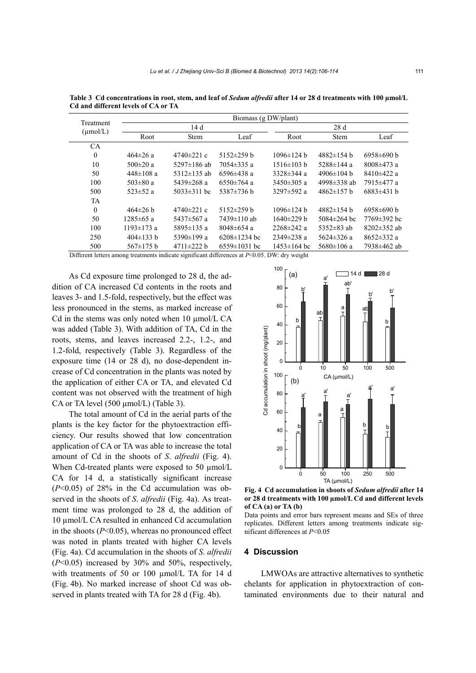|                                   | Biomass (g DW/plant) |                   |                    |                   |                   |                   |  |
|-----------------------------------|----------------------|-------------------|--------------------|-------------------|-------------------|-------------------|--|
| Treatment<br>$(\mu \text{mol/L})$ |                      | 14 d              |                    |                   | 28 d              |                   |  |
|                                   | Root                 | <b>Stem</b>       | Leaf               | Root              | <b>Stem</b>       | Leaf              |  |
| <b>CA</b>                         |                      |                   |                    |                   |                   |                   |  |
| $\mathbf{0}$                      | 464±26 a             | $4740 \pm 221$ c  | $5152 \pm 259$ h   | $1096 \pm 124$ h  | $4882 \pm 154$ h  | $6958\pm690$ b    |  |
| 10                                | $500 \pm 20$ a       | 5297 $\pm$ 186 ab | $7054 \pm 335$ a   | $1516 \pm 103 b$  | 5288±144 a        | $8008 \pm 473$ a  |  |
| 50                                | $448 \pm 108$ a      | 5312 $\pm$ 135 ab | $6596 \pm 438$ a   | $3328 \pm 344$ a  | 4906 $\pm$ 104 h  | $8410\pm422$ a    |  |
| 100                               | $503 \pm 80 a$       | $5439 \pm 268$ a  | $6550 \pm 764$ a   | $3450 \pm 305$ a  | 4998 $\pm$ 338 ab | 7915±477 a        |  |
| 500                               | $523 \pm 52$ a       | $5033 \pm 311$ bc | $5387 \pm 736$ b   | 3297 $\pm$ 592 a  | $4862 \pm 157$ h  | $6883\pm431$ b    |  |
| <b>TA</b>                         |                      |                   |                    |                   |                   |                   |  |
| $\mathbf{0}$                      | $464\pm26$ b         | $4740 \pm 221$ c  | $5152 \pm 259$ h   | $1096 \pm 124$ b  | $4882 \pm 154$ h  | $6958\pm 690$ b   |  |
| 50                                | $1285 \pm 65$ a      | $5437 \pm 567$ a  | 7439±110 ab        | $1640\pm229$ b    | $5084 \pm 264$ bc | 7769±392 bc       |  |
| 100                               | $1193 \pm 173$ a     | 5895±135 a        | $8048 \pm 654$ a   | $2268 \pm 242$ a  | 5352 $\pm$ 83 ab  | $8202 \pm 352$ ab |  |
| 250                               | $404\pm133$ b        | 5390 $\pm$ 199 a  | $6208 \pm 1234$ bc | $2349 \pm 238$ a  | 5624 $\pm$ 326 a  | $8652 \pm 332$ a  |  |
| 500                               | $567 \pm 175$ b      | $4711 \pm 222$ b  | $6559 \pm 1031$ bc | $1453 \pm 164$ bc | $5680 \pm 106$ a  | 7938±462 ab       |  |

Table 3 Cd concentrations in root, stem, and leaf of *Sedum alfredii* after 14 or 28 d treatments with 100  $\mu$ mol/L **Cd and different levels of CA or TA** 

Different letters among treatments indicate significant differences at *P*<0.05. DW: dry weight

As Cd exposure time prolonged to 28 d, the addition of CA increased Cd contents in the roots and leaves 3- and 1.5-fold, respectively, but the effect was less pronounced in the stems, as marked increase of Cd in the stems was only noted when  $10 \mu$ mol/L CA was added (Table 3). With addition of TA, Cd in the roots, stems, and leaves increased 2.2-, 1.2-, and 1.2-fold, respectively (Table 3). Regardless of the exposure time (14 or 28 d), no dose-dependent increase of Cd concentration in the plants was noted by the application of either CA or TA, and elevated Cd content was not observed with the treatment of high CA or TA level (500 µmol/L) (Table 3).

The total amount of Cd in the aerial parts of the plants is the key factor for the phytoextraction efficiency. Our results showed that low concentration application of CA or TA was able to increase the total amount of Cd in the shoots of *S*. *alfredii* (Fig. 4). When Cd-treated plants were exposed to 50  $\mu$ mol/L CA for 14 d, a statistically significant increase  $(P<0.05)$  of 28% in the Cd accumulation was observed in the shoots of *S*. *alfredii* (Fig. 4a). As treatment time was prolonged to 28 d, the addition of 10 µmol/L CA resulted in enhanced Cd accumulation in the shoots  $(P<0.05)$ , whereas no pronounced effect was noted in plants treated with higher CA levels (Fig. 4a). Cd accumulation in the shoots of *S*. *alfredii* (*P*<0.05) increased by 30% and 50%, respectively, with treatments of 50 or 100 µmol/L TA for 14 d (Fig. 4b). No marked increase of shoot Cd was observed in plants treated with TA for 28 d (Fig. 4b).



**Fig. 4 Cd accumulation in shoots of** *Sedum alfredii* **after 14 or 28 d treatments with 100 µmol/L Cd and different levels of CA (a) or TA (b)** 

Data points and error bars represent means and SEs of three replicates. Different letters among treatments indicate sig-

#### **4 Discussion**

LMWOAs are attractive alternatives to synthetic chelants for application in phytoextraction of contaminated environments due to their natural and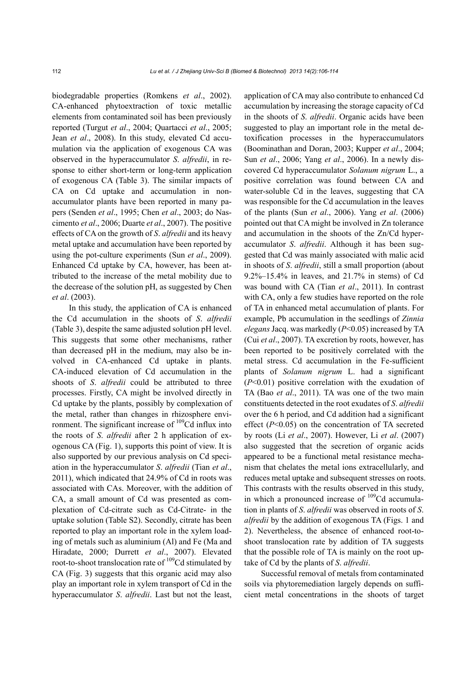biodegradable properties (Romkens *et al*., 2002). CA-enhanced phytoextraction of toxic metallic elements from contaminated soil has been previously reported (Turgut *et al*., 2004; Quartacci *et al*., 2005; Jean *et al*., 2008). In this study, elevated Cd accumulation via the application of exogenous CA was observed in the hyperaccumulator *S*. *alfredii*, in response to either short-term or long-term application of exogenous CA (Table 3). The similar impacts of CA on Cd uptake and accumulation in nonaccumulator plants have been reported in many papers (Senden *et al*., 1995; Chen *et al*., 2003; do Nascimento *et al*., 2006; Duarte *et al*., 2007). The positive effects of CA on the growth of *S*. *alfredii* and its heavy metal uptake and accumulation have been reported by using the pot-culture experiments (Sun *et al*., 2009). Enhanced Cd uptake by CA, however, has been attributed to the increase of the metal mobility due to the decrease of the solution pH, as suggested by Chen *et al*. (2003).

In this study, the application of CA is enhanced the Cd accumulation in the shoots of *S*. *alfredii* (Table 3), despite the same adjusted solution pH level. This suggests that some other mechanisms, rather than decreased pH in the medium, may also be involved in CA-enhanced Cd uptake in plants. CA-induced elevation of Cd accumulation in the shoots of *S*. *alfredii* could be attributed to three processes. Firstly, CA might be involved directly in Cd uptake by the plants, possibly by complexation of the metal, rather than changes in rhizosphere environment. The significant increase of  $109$ Cd influx into the roots of *S*. *alfredii* after 2 h application of exogenous CA (Fig. 1), supports this point of view. It is also supported by our previous analysis on Cd speciation in the hyperaccumulator *S*. *alfredii* (Tian *et al*., 2011), which indicated that 24.9% of Cd in roots was associated with CAs. Moreover, with the addition of CA, a small amount of Cd was presented as complexation of Cd-citrate such as Cd-Citrate- in the uptake solution (Table S2). Secondly, citrate has been reported to play an important role in the xylem loading of metals such as aluminium (Al) and Fe (Ma and Hiradate, 2000; Durrett *et al*., 2007). Elevated root-to-shoot translocation rate of  $109$ Cd stimulated by CA (Fig. 3) suggests that this organic acid may also play an important role in xylem transport of Cd in the hyperaccumulator *S*. *alfredii*. Last but not the least,

application of CA may also contribute to enhanced Cd accumulation by increasing the storage capacity of Cd in the shoots of *S*. *alfredii*. Organic acids have been suggested to play an important role in the metal detoxification processes in the hyperaccumulators (Boominathan and Doran, 2003; Kupper *et al*., 2004; Sun *et al*., 2006; Yang *et al*., 2006). In a newly discovered Cd hyperaccumulator *Solanum nigrum* L., a positive correlation was found between CA and water-soluble Cd in the leaves, suggesting that CA was responsible for the Cd accumulation in the leaves of the plants (Sun *et al*., 2006). Yang *et al*. (2006) pointed out that CA might be involved in Zn tolerance and accumulation in the shoots of the Zn/Cd hyperaccumulator *S*. *alfredii*. Although it has been suggested that Cd was mainly associated with malic acid in shoots of *S*. *alfredii*, still a small proportion (about 9.2%–15.4% in leaves, and 21.7% in stems) of Cd was bound with CA (Tian *et al*., 2011). In contrast with CA, only a few studies have reported on the role of TA in enhanced metal accumulation of plants. For example, Pb accumulation in the seedlings of *Zinnia elegans* Jacq. was markedly (*P*<0.05) increased by TA (Cui *et al*., 2007). TA excretion by roots, however, has been reported to be positively correlated with the metal stress. Cd accumulation in the Fe-sufficient plants of *Solanum nigrum* L. had a significant (*P*<0.01) positive correlation with the exudation of TA (Bao *et al*., 2011). TA was one of the two main constituents detected in the root exudates of *S*. *alfredii* over the 6 h period, and Cd addition had a significant effect (*P*<0.05) on the concentration of TA secreted by roots (Li *et al*., 2007). However, Li *et al*. (2007) also suggested that the secretion of organic acids appeared to be a functional metal resistance mechanism that chelates the metal ions extracellularly, and reduces metal uptake and subsequent stresses on roots. This contrasts with the results observed in this study, in which a pronounced increase of  $109$ Cd accumulation in plants of *S*. *alfredii* was observed in roots of *S*. *alfredii* by the addition of exogenous TA (Figs. 1 and 2). Nevertheless, the absence of enhanced root-toshoot translocation rate by addition of TA suggests that the possible role of TA is mainly on the root uptake of Cd by the plants of *S*. *alfredii*.

Successful removal of metals from contaminated soils via phytoremediation largely depends on sufficient metal concentrations in the shoots of target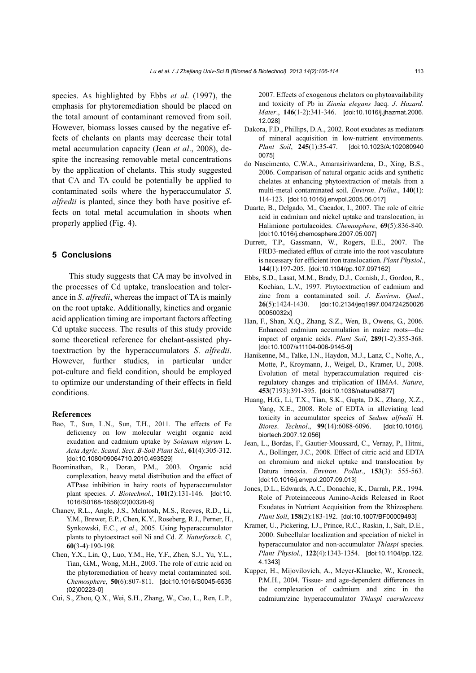species. As highlighted by Ebbs *et al*. (1997), the emphasis for phytoremediation should be placed on the total amount of contaminant removed from soil. However, biomass losses caused by the negative effects of chelants on plants may decrease their total metal accumulation capacity (Jean *et al*., 2008), despite the increasing removable metal concentrations by the application of chelants. This study suggested that CA and TA could be potentially be applied to contaminated soils where the hyperaccumulator *S*. *alfredii* is planted, since they both have positive effects on total metal accumulation in shoots when properly applied (Fig. 4).

#### **5 Conclusions**

This study suggests that CA may be involved in the processes of Cd uptake, translocation and tolerance in *S*. *alfredii*, whereas the impact of TA is mainly on the root uptake. Additionally, kinetics and organic acid application timing are important factors affecting Cd uptake success. The results of this study provide some theoretical reference for chelant-assisted phytoextraction by the hyperaccumulators *S*. *alfredii*. However, further studies, in particular under pot-culture and field condition, should be employed to optimize our understanding of their effects in field conditions.

#### **References**

- Bao, T., Sun, L.N., Sun, T.H., 2011. The effects of Fe deficiency on low molecular weight organic acid exudation and cadmium uptake by *Solanum nigrum* L. *Acta Agric*. *Scand*. *Sect*. *B-Soil Plant Sci*., **61**(4):305-312. [doi:10.1080/09064710.2010.493529]
- Boominathan, R., Doran, P.M., 2003. Organic acid complexation, heavy metal distribution and the effect of ATPase inhibition in hairy roots of hyperaccumulator plant species. *J*. *Biotechnol*., **101**(2):131-146. [doi:10. 1016/S0168-1656(02)00320-6]
- Chaney, R.L., Angle, J.S., Mclntosh, M.S., Reeves, R.D., Li, Y.M., Brewer, E.P., Chen, K.Y., Roseberg, R.J., Perner, H., Synkowski, E.C., *et al*., 2005. Using hyperaccumulator plants to phytoextract soil Ni and Cd. *Z. Naturforsch. C*, **60**(3-4):190-198.
- Chen, Y.X., Lin, Q., Luo, Y.M., He, Y.F., Zhen, S.J., Yu, Y.L., Tian, G.M., Wong, M.H., 2003. The role of citric acid on the phytoremediation of heavy metal contaminated soil. *Chemosphere*, **50**(6):807-811. [doi:10.1016/S0045-6535 (02)00223-0]
- Cui, S., Zhou, Q.X., Wei, S.H., Zhang, W., Cao, L., Ren, L.P.,

2007. Effects of exogenous chelators on phytoavailability and toxicity of Pb in *Zinnia elegans* Jacq. *J*. *Hazard*. *Mater*., **146**(1-2):341-346. [doi:10.1016/j.jhazmat.2006. 12.028]

- Dakora, F.D., Phillips, D.A., 2002. Root exudates as mediators of mineral acquisition in low-nutrient environments. *Plant Soil*, **245**(1):35-47. [doi:10.1023/A:102080940 0075]
- do Nascimento, C.W.A., Amarasiriwardena, D., Xing, B.S., 2006. Comparison of natural organic acids and synthetic chelates at enhancing phytoextraction of metals from a multi-metal contaminated soil. *Environ*. *Pollut*., **140**(1): 114-123. [doi:10.1016/j.envpol.2005.06.017]
- Duarte, B., Delgado, M., Cacador, I., 2007. The role of citric acid in cadmium and nickel uptake and translocation, in Halimione portulacoides. *Chemosphere*, **69**(5):836-840. [doi:10.1016/j.chemosphere.2007.05.007]
- Durrett, T.P., Gassmann, W., Rogers, E.E., 2007. The FRD3-mediated efflux of citrate into the root vasculature is necessary for efficient iron translocation. *Plant Physiol*., **144**(1):197-205. [doi:10.1104/pp.107.097162]
- Ebbs, S.D., Lasat, M.M., Brady, D.J., Cornish, J., Gordon, R., Kochian, L.V., 1997. Phytoextraction of cadmium and zinc from a contaminated soil. *J*. *Environ*. *Qual*., **26**(5):1424-1430. [doi:10.2134/jeq1997.004724250026 00050032x]
- Han, F., Shan, X.Q., Zhang, S.Z., Wen, B., Owens, G., 2006. Enhanced cadmium accumulation in maize roots—the impact of organic acids. *Plant Soil*, **289**(1-2):355-368. [doi:10.1007/s11104-006-9145-9]
- Hanikenne, M., Talke, I.N., Haydon, M.J., Lanz, C., Nolte, A., Motte, P., Kroymann, J., Weigel, D., Kramer, U., 2008. Evolution of metal hyperaccumulation required cisregulatory changes and triplication of HMA4. *Nature*, **453**(7193):391-395. [doi:10.1038/nature06877]
- Huang, H.G., Li, T.X., Tian, S.K., Gupta, D.K., Zhang, X.Z., Yang, X.E., 2008. Role of EDTA in alleviating lead toxicity in accumulator species of *Sedum alfredii* H. *Biores*. *Technol*., **99**(14):6088-6096. [doi:10.1016/j. biortech.2007.12.056]
- Jean, L., Bordas, F., Gautier-Moussard, C., Vernay, P., Hitmi, A., Bollinger, J.C., 2008. Effect of citric acid and EDTA on chromium and nickel uptake and translocation by Datura innoxia. *Environ*. *Pollut*., **153**(3): 555-563. [doi:10.1016/j.envpol.2007.09.013]
- Jones, D.L., Edwards, A.C., Donachie, K., Darrah, P.R., 1994. Role of Proteinaceous Amino-Acids Released in Root Exudates in Nutrient Acquisition from the Rhizosphere. *Plant Soil*, **158**(2):183-192. [doi:10.1007/BF00009493]
- Kramer, U., Pickering, I.J., Prince, R.C., Raskin, I., Salt, D.E., 2000. Subcellular localization and speciation of nickel in hyperaccumulator and non-accumulator *Thlaspi* species. *Plant Physiol*., **122**(4):1343-1354. [doi:10.1104/pp.122. 4.1343]
- Kupper, H., Mijovilovich, A., Meyer-Klaucke, W., Kroneck, P.M.H., 2004. Tissue- and age-dependent differences in the complexation of cadmium and zinc in the cadmium/zinc hyperaccumulator *Thlaspi caerulescens*